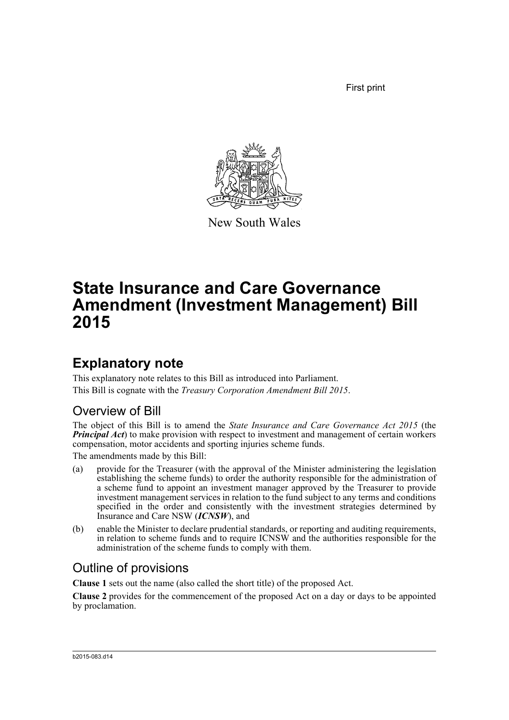First print



New South Wales

# **State Insurance and Care Governance Amendment (Investment Management) Bill 2015**

## **Explanatory note**

This explanatory note relates to this Bill as introduced into Parliament. This Bill is cognate with the *Treasury Corporation Amendment Bill 2015*.

### Overview of Bill

The object of this Bill is to amend the *State Insurance and Care Governance Act 2015* (the *Principal Act*) to make provision with respect to investment and management of certain workers compensation, motor accidents and sporting injuries scheme funds.

The amendments made by this Bill:

- (a) provide for the Treasurer (with the approval of the Minister administering the legislation establishing the scheme funds) to order the authority responsible for the administration of a scheme fund to appoint an investment manager approved by the Treasurer to provide investment management services in relation to the fund subject to any terms and conditions specified in the order and consistently with the investment strategies determined by Insurance and Care NSW (*ICNSW*), and
- (b) enable the Minister to declare prudential standards, or reporting and auditing requirements, in relation to scheme funds and to require ICNSW and the authorities responsible for the administration of the scheme funds to comply with them.

### Outline of provisions

**Clause 1** sets out the name (also called the short title) of the proposed Act.

**Clause 2** provides for the commencement of the proposed Act on a day or days to be appointed by proclamation.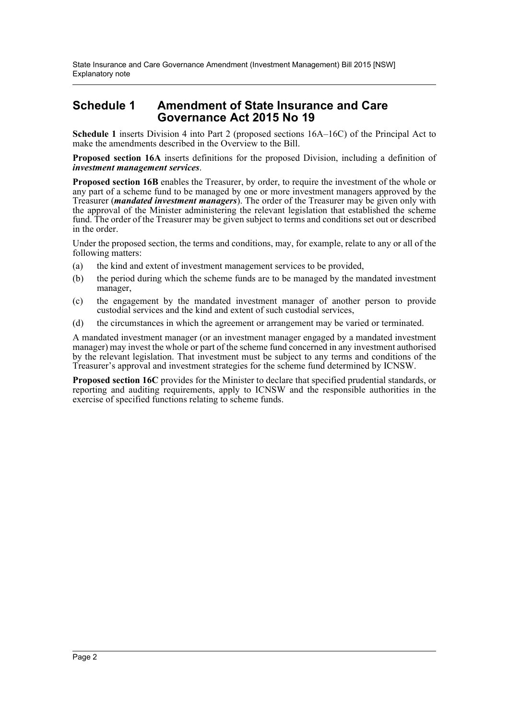### **Schedule 1 Amendment of State Insurance and Care Governance Act 2015 No 19**

**Schedule 1** inserts Division 4 into Part 2 (proposed sections 16A–16C) of the Principal Act to make the amendments described in the Overview to the Bill.

**Proposed section 16A** inserts definitions for the proposed Division, including a definition of *investment management services*.

**Proposed section 16B** enables the Treasurer, by order, to require the investment of the whole or any part of a scheme fund to be managed by one or more investment managers approved by the Treasurer (*mandated investment managers*). The order of the Treasurer may be given only with the approval of the Minister administering the relevant legislation that established the scheme fund. The order of the Treasurer may be given subject to terms and conditions set out or described in the order.

Under the proposed section, the terms and conditions, may, for example, relate to any or all of the following matters:

- (a) the kind and extent of investment management services to be provided,
- (b) the period during which the scheme funds are to be managed by the mandated investment manager,
- (c) the engagement by the mandated investment manager of another person to provide custodial services and the kind and extent of such custodial services,
- (d) the circumstances in which the agreement or arrangement may be varied or terminated.

A mandated investment manager (or an investment manager engaged by a mandated investment manager) may invest the whole or part of the scheme fund concerned in any investment authorised by the relevant legislation. That investment must be subject to any terms and conditions of the Treasurer's approval and investment strategies for the scheme fund determined by ICNSW.

**Proposed section 16C** provides for the Minister to declare that specified prudential standards, or reporting and auditing requirements, apply to ICNSW and the responsible authorities in the exercise of specified functions relating to scheme funds.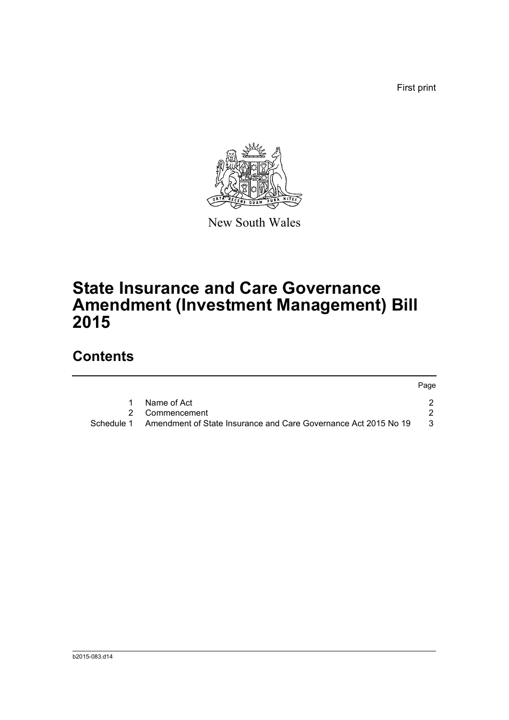First print



New South Wales

## **State Insurance and Care Governance Amendment (Investment Management) Bill 2015**

## **Contents**

|            |                                                                 | Page |
|------------|-----------------------------------------------------------------|------|
|            | Name of Act                                                     |      |
|            | 2 Commencement                                                  |      |
| Schedule 1 | Amendment of State Insurance and Care Governance Act 2015 No 19 |      |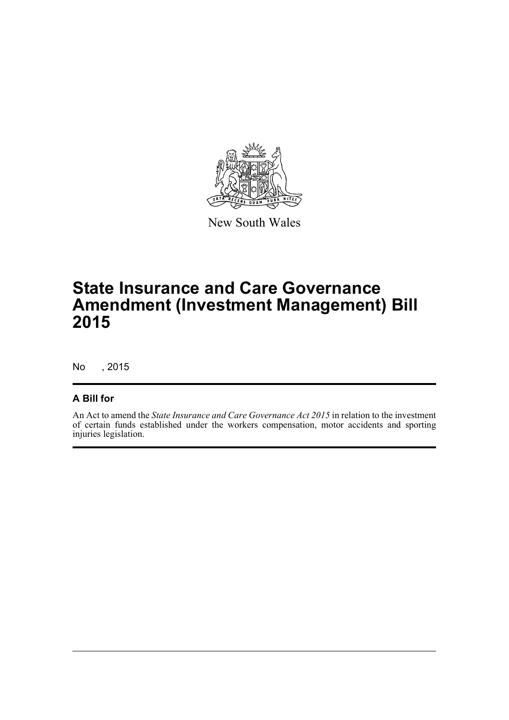

New South Wales

## **State Insurance and Care Governance Amendment (Investment Management) Bill 2015**

No , 2015

#### **A Bill for**

An Act to amend the *State Insurance and Care Governance Act 2015* in relation to the investment of certain funds established under the workers compensation, motor accidents and sporting injuries legislation.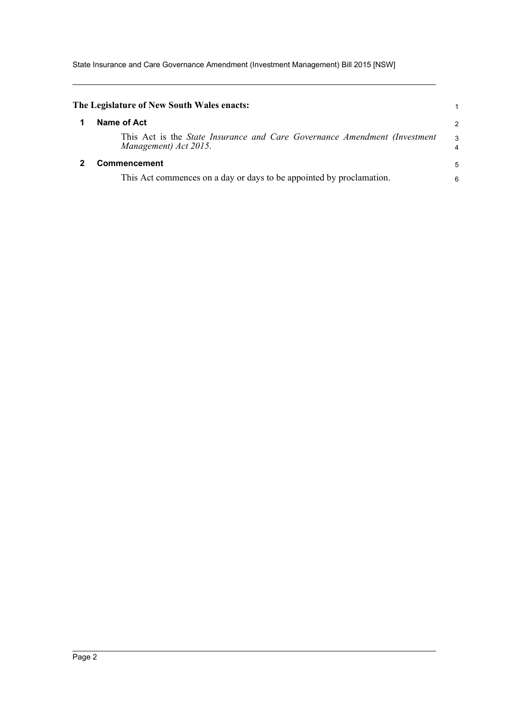State Insurance and Care Governance Amendment (Investment Management) Bill 2015 [NSW]

<span id="page-4-1"></span><span id="page-4-0"></span>

| The Legislature of New South Wales enacts:                                                                  | 1             |
|-------------------------------------------------------------------------------------------------------------|---------------|
| Name of Act                                                                                                 | $\mathcal{P}$ |
| This Act is the <i>State Insurance and Care Governance Amendment (Investment</i> )<br>Management) Act 2015. | 3<br>4        |
| <b>Commencement</b>                                                                                         |               |
| This Act commences on a day or days to be appointed by proclamation.                                        | 6             |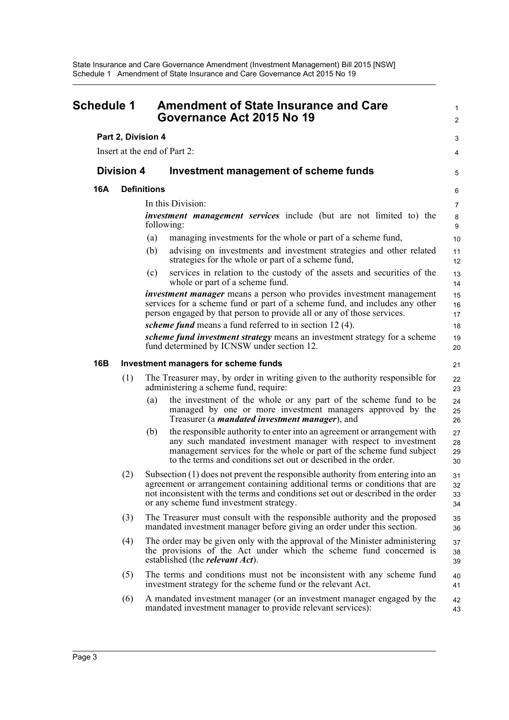<span id="page-5-0"></span>

| Schedule 1 |                    | <b>Amendment of State Insurance and Care</b><br>Governance Act 2015 No 19 |                                                                                                                                                                                                                                                                                               |                      |
|------------|--------------------|---------------------------------------------------------------------------|-----------------------------------------------------------------------------------------------------------------------------------------------------------------------------------------------------------------------------------------------------------------------------------------------|----------------------|
|            | Part 2, Division 4 |                                                                           |                                                                                                                                                                                                                                                                                               | 3                    |
|            |                    |                                                                           | Insert at the end of Part 2:                                                                                                                                                                                                                                                                  | 4                    |
|            | <b>Division 4</b>  |                                                                           | Investment management of scheme funds                                                                                                                                                                                                                                                         | 5                    |
| 16A        |                    | <b>Definitions</b>                                                        |                                                                                                                                                                                                                                                                                               | 6                    |
|            |                    |                                                                           | In this Division:                                                                                                                                                                                                                                                                             | $\overline{7}$       |
|            |                    |                                                                           | <i>investment management services</i> include (but are not limited to) the<br>following:                                                                                                                                                                                                      | 8<br>9               |
|            |                    | (a)                                                                       | managing investments for the whole or part of a scheme fund,                                                                                                                                                                                                                                  | 10                   |
|            |                    | (b)                                                                       | advising on investments and investment strategies and other related<br>strategies for the whole or part of a scheme fund,                                                                                                                                                                     | 11<br>12             |
|            |                    | (c)                                                                       | services in relation to the custody of the assets and securities of the<br>whole or part of a scheme fund.                                                                                                                                                                                    | 13<br>14             |
|            |                    |                                                                           | <i>investment manager</i> means a person who provides investment management<br>services for a scheme fund or part of a scheme fund, and includes any other<br>person engaged by that person to provide all or any of those services.                                                          | 15<br>16<br>17       |
|            |                    |                                                                           | scheme fund means a fund referred to in section 12 (4).                                                                                                                                                                                                                                       | 18                   |
|            |                    |                                                                           | scheme fund investment strategy means an investment strategy for a scheme<br>fund determined by ICNSW under section 12.                                                                                                                                                                       | 19<br>20             |
| <b>16B</b> |                    |                                                                           | Investment managers for scheme funds                                                                                                                                                                                                                                                          | 21                   |
|            | (1)                |                                                                           | The Treasurer may, by order in writing given to the authority responsible for<br>administering a scheme fund, require:                                                                                                                                                                        | 22<br>23             |
|            |                    | (a)                                                                       | the investment of the whole or any part of the scheme fund to be<br>managed by one or more investment managers approved by the<br>Treasurer (a <i>mandated investment manager</i> ), and                                                                                                      | 24<br>25<br>26       |
|            |                    | (b)                                                                       | the responsible authority to enter into an agreement or arrangement with<br>any such mandated investment manager with respect to investment<br>management services for the whole or part of the scheme fund subject<br>to the terms and conditions set out or described in the order.         | 27<br>28<br>29<br>30 |
|            | (2)                |                                                                           | Subsection (1) does not prevent the responsible authority from entering into an<br>agreement or arrangement containing additional terms or conditions that are<br>not inconsistent with the terms and conditions set out or described in the order<br>or any scheme fund investment strategy. | 31<br>32<br>33<br>34 |
|            | (3)                |                                                                           | The Treasurer must consult with the responsible authority and the proposed<br>mandated investment manager before giving an order under this section.                                                                                                                                          | 35<br>36             |
|            | (4)                |                                                                           | The order may be given only with the approval of the Minister administering<br>the provisions of the Act under which the scheme fund concerned is<br>established (the <i>relevant Act</i> ).                                                                                                  | 37<br>38<br>39       |
|            | (5)                |                                                                           | The terms and conditions must not be inconsistent with any scheme fund<br>investment strategy for the scheme fund or the relevant Act.                                                                                                                                                        | 40<br>41             |
|            | (6)                |                                                                           | A mandated investment manager (or an investment manager engaged by the<br>mandated investment manager to provide relevant services):                                                                                                                                                          | 42<br>43             |
|            |                    |                                                                           |                                                                                                                                                                                                                                                                                               |                      |